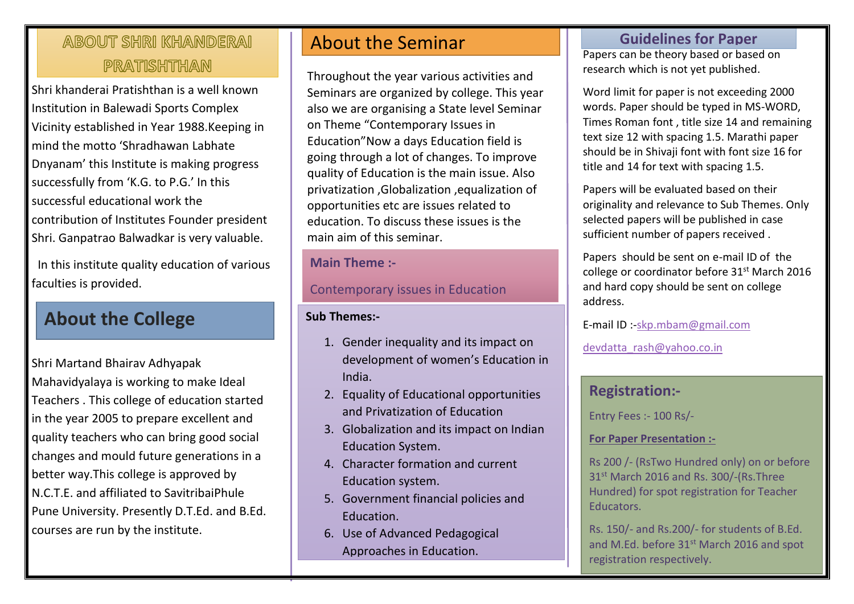# ABOUT SHRI KHANDERAI PRATISHTHAN

Shri khanderai Pratishthan is a well known Institution in Balewadi Sports Complex Vicinity established in Year 1988.Keeping in mind the motto 'Shradhawan Labhate Dnyanam' this Institute is making progress successfully from 'K.G. to P.G.' In this successful educational work the contribution of Institutes Founder president Shri. Ganpatrao Balwadkar is very valuable.

 In this institute quality education of various faculties is provided.

# **About the College**

Shri Martand Bhairav Adhyapak Mahavidyalaya is working to make Ideal Teachers . This college of education started in the year 2005 to prepare excellent and quality teachers who can bring good social changes and mould future generations in a better way.This college is approved by N.C.T.E. and affiliated to SavitribaiPhule Pune University. Presently D.T.Ed. and B.Ed. courses are run by the institute.

# About the Seminar

Throughout the year various activities and Seminars are organized by college. This year also we are organising a State level Seminar on Theme "Contemporary Issues in Education"Now a days Education field is going through a lot of changes. To improve quality of Education is the main issue. Also privatization ,Globalization ,equalization of opportunities etc are issues related to education. To discuss these issues is the main aim of this seminar.

#### **Main Theme :-**

Contemporary issues in Education

#### **Sub Themes:-**

- 1. Gender inequality and its impact on development of women's Education in India.
- 2. Equality of Educational opportunities and Privatization of Education
- 3. Globalization and its impact on Indian Education System.
- 4. Character formation and current Education system.
- 5. Government financial policies and Education.
- 6. Use of Advanced Pedagogical Approaches in Education.

## **Guidelines for Paper**

Papers can be theory based or based on Papers can be theory based or based<br>research which is not yet published.

Word limit for paper is not exceeding 2000 words. Paper should be typed in MS-WORD, Times Roman font , title size 14 and remaining text size 12 with spacing 1.5. Marathi paper should be in Shivaji font with font size 16 for title and 14 for text with spacing 1.5.

Papers will be evaluated based on their originality and relevance to Sub Themes. Only selected papers will be published in case sufficient number of papers received .

Papers should be sent on e-mail ID of the college or coordinator before 31<sup>st</sup> March 2016 and hard copy should be sent on college address.

E-mail ID :[-skp.mbam@gmail.com](mailto:skp.mbam@gmail.com)

[devdatta\\_rash@yahoo.co.in](mailto:devdatta_rash@yahoo.co.in)

### **Registration:-**

Entry Fees :- 100 Rs/-

#### **For Paper Presentation :-**

Rs 200 /- (RsTwo Hundred only) on or before 31<sup>st</sup> March 2016 and Rs. 300/-(Rs.Three Hundred) for spot registration for Teacher Educators.

Rs. 150/- and Rs.200/- for students of B.Ed. and M.Ed. before 31<sup>st</sup> March 2016 and spot registration respectively.